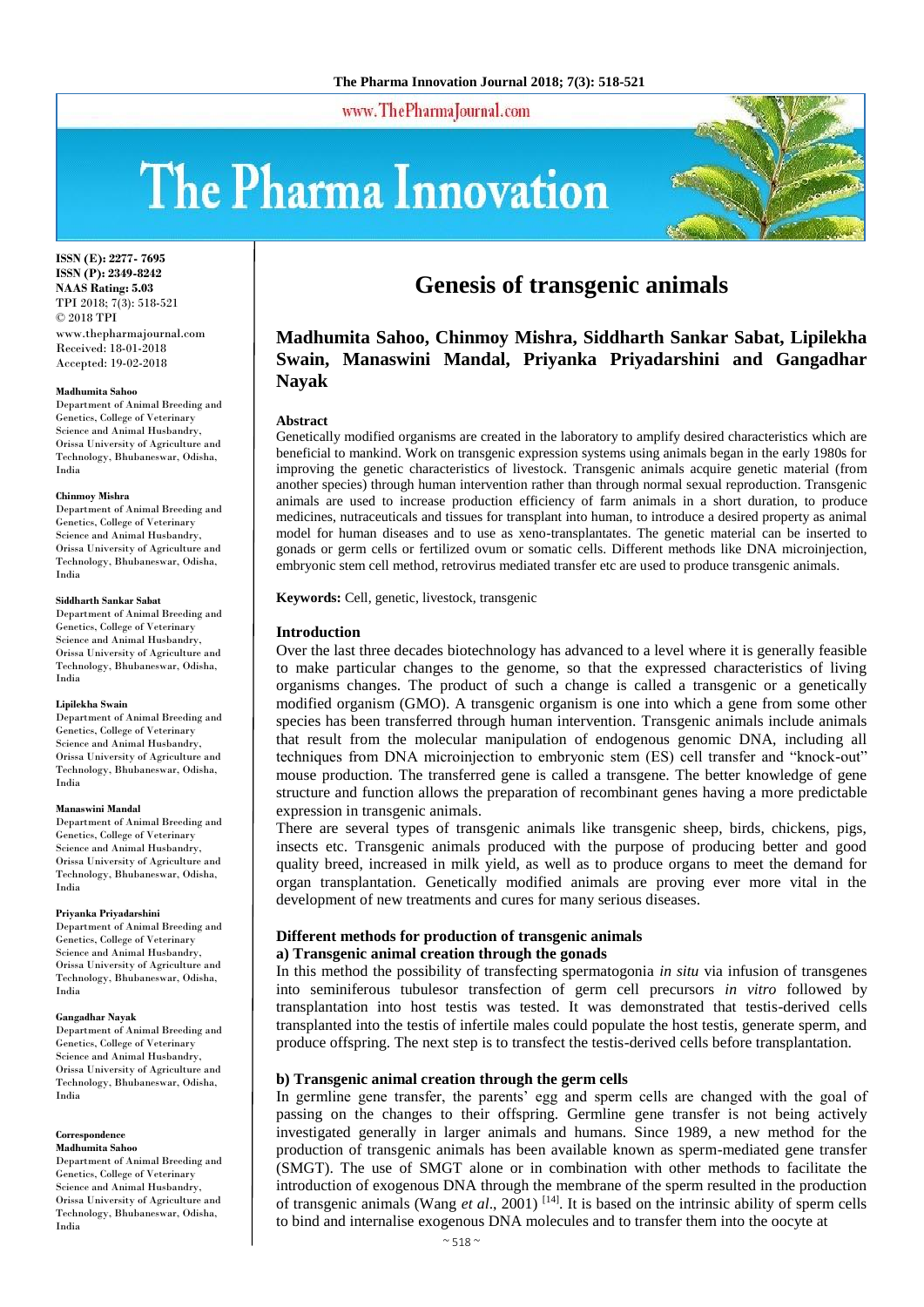www.ThePharmaJournal.com

# The Pharma Innovation



**ISSN (E): 2277- 7695 ISSN (P): 2349-8242 NAAS Rating: 5.03** TPI 2018; 7(3): 518-521 © 2018 TPI www.thepharmajournal.com Received: 18-01-2018 Accepted: 19-02-2018

#### **Madhumita Sahoo**

Department of Animal Breeding and Genetics, College of Veterinary Science and Animal Husbandry, Orissa University of Agriculture and Technology, Bhubaneswar, Odisha, India

#### **Chinmoy Mishra**

Department of Animal Breeding and Genetics, College of Veterinary Science and Animal Husbandry, Orissa University of Agriculture and Technology, Bhubaneswar, Odisha, India

#### **Siddharth Sankar Sabat**

Department of Animal Breeding and Genetics, College of Veterinary Science and Animal Husbandry, Orissa University of Agriculture and Technology, Bhubaneswar, Odisha, India

#### **Lipilekha Swain**

Department of Animal Breeding and Genetics, College of Veterinary Science and Animal Husbandry, Orissa University of Agriculture and Technology, Bhubaneswar, Odisha, India

#### **Manaswini Mandal**

Department of Animal Breeding and Genetics, College of Veterinary Science and Animal Husbandry, Orissa University of Agriculture and Technology, Bhubaneswar, Odisha, India

#### **Priyanka Priyadarshini**

Department of Animal Breeding and Genetics, College of Veterinary Science and Animal Husbandry, Orissa University of Agriculture and Technology, Bhubaneswar, Odisha, India

#### **Gangadhar Nayak**

Department of Animal Breeding and Genetics, College of Veterinary Science and Animal Husbandry, Orissa University of Agriculture and Technology, Bhubaneswar, Odisha, India

#### **Correspondence Madhumita Sahoo**

Department of Animal Breeding and Genetics, College of Veterinary Science and Animal Husbandry, Orissa University of Agriculture and Technology, Bhubaneswar, Odisha, India

# **Genesis of transgenic animals**

# **Madhumita Sahoo, Chinmoy Mishra, Siddharth Sankar Sabat, Lipilekha Swain, Manaswini Mandal, Priyanka Priyadarshini and Gangadhar Nayak**

#### **Abstract**

Genetically modified organisms are created in the laboratory to amplify desired characteristics which are beneficial to mankind. Work on transgenic expression systems using animals began in the early 1980s for improving the genetic characteristics of livestock. Transgenic animals acquire genetic material (from another species) through human intervention rather than through normal sexual reproduction. Transgenic animals are used to increase production efficiency of farm animals in a short duration, to produce medicines, nutraceuticals and tissues for transplant into human, to introduce a desired property as animal model for human diseases and to use as xeno-transplantates. The genetic material can be inserted to gonads or germ cells or fertilized ovum or somatic cells. Different methods like DNA microinjection, embryonic stem cell method, retrovirus mediated transfer etc are used to produce transgenic animals.

**Keywords:** Cell, genetic, livestock, transgenic

#### **Introduction**

Over the last three decades biotechnology has advanced to a level where it is generally feasible to make particular changes to the genome, so that the expressed characteristics of living organisms changes. The product of such a change is called a transgenic or a genetically modified organism (GMO). A transgenic organism is one into which a gene from some other species has been transferred through human intervention. Transgenic animals include animals that result from the molecular manipulation of endogenous genomic DNA, including all techniques from DNA microinjection to embryonic stem (ES) cell transfer and "knock-out" mouse production. The transferred gene is called a transgene. The better knowledge of gene structure and function allows the preparation of recombinant genes having a more predictable expression in transgenic animals.

There are several types of transgenic animals like transgenic sheep, birds, chickens, pigs, insects etc. Transgenic animals produced with the purpose of producing better and good quality breed, increased in milk yield, as well as to produce organs to meet the demand for organ transplantation. Genetically modified animals are proving ever more vital in the development of new treatments and cures for many serious diseases.

#### **Different methods for production of transgenic animals a) Transgenic animal creation through the gonads**

In this method the possibility of transfecting spermatogonia *in situ* via infusion of transgenes into seminiferous tubulesor transfection of germ cell precursors *in vitro* followed by transplantation into host testis was tested. It was demonstrated that testis-derived cells transplanted into the testis of infertile males could populate the host testis, generate sperm, and produce offspring. The next step is to transfect the testis-derived cells before transplantation.

#### **b) Transgenic animal creation through the germ cells**

In germline gene transfer, the parents' egg and sperm cells are changed with the goal of passing on the changes to their offspring. Germline gene transfer is not being actively investigated generally in larger animals and humans. Since 1989, a new method for the production of transgenic animals has been available known as sperm-mediated gene transfer (SMGT). The use of SMGT alone or in combination with other methods to facilitate the introduction of exogenous DNA through the membrane of the sperm resulted in the production of transgenic animals (Wang *et al*., 2001) [14]. It is based on the intrinsic ability of sperm cells to bind and internalise exogenous DNA molecules and to transfer them into the oocyte at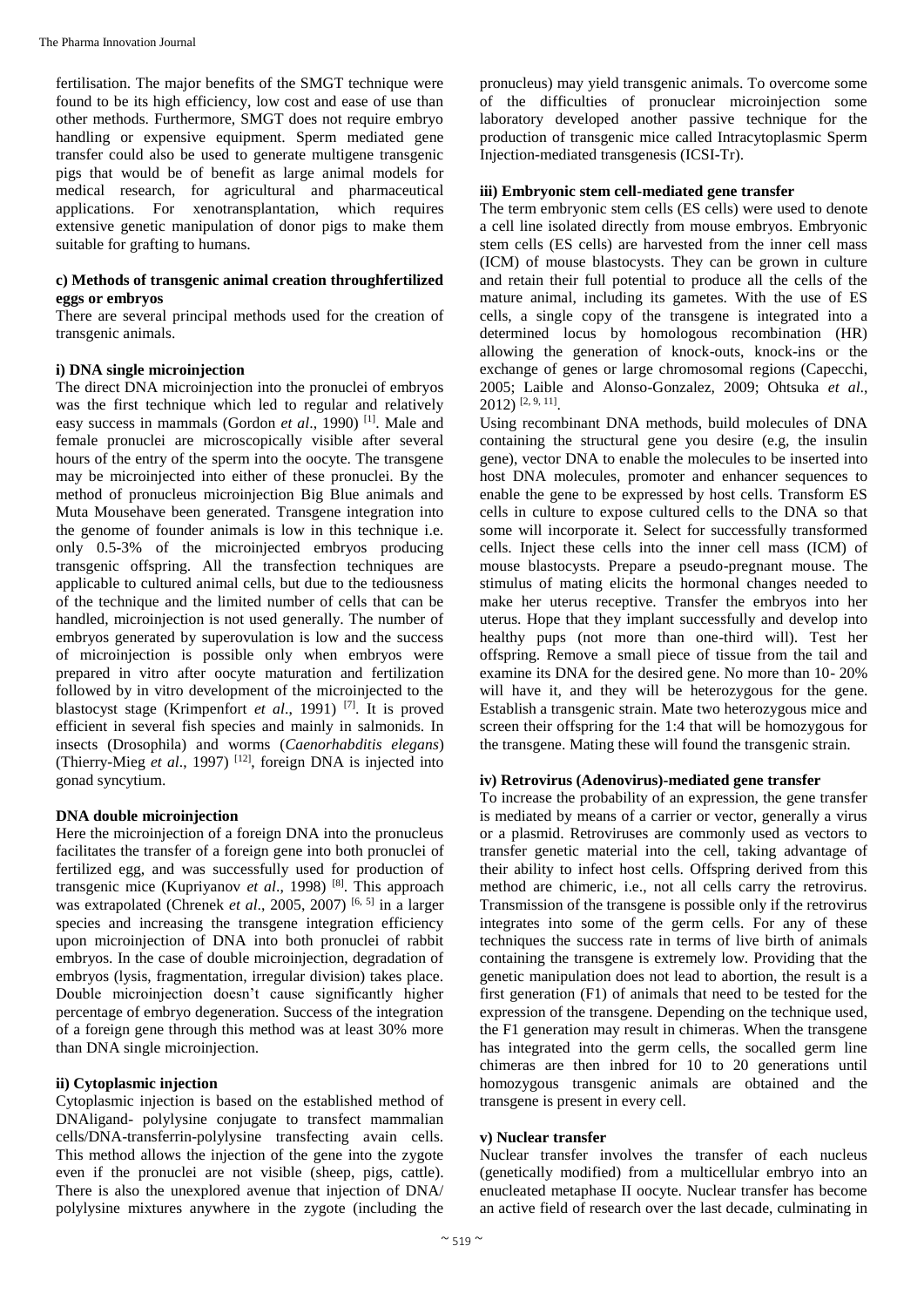fertilisation. The major benefits of the SMGT technique were found to be its high efficiency, low cost and ease of use than other methods. Furthermore, SMGT does not require embryo handling or expensive equipment. Sperm mediated gene transfer could also be used to generate multigene transgenic pigs that would be of benefit as large animal models for medical research, for agricultural and pharmaceutical applications. For xenotransplantation, which requires extensive genetic manipulation of donor pigs to make them suitable for grafting to humans.

# **c) Methods of transgenic animal creation throughfertilized eggs or embryos**

There are several principal methods used for the creation of transgenic animals.

### **i) DNA single microinjection**

The direct DNA microinjection into the pronuclei of embryos was the first technique which led to regular and relatively easy success in mammals (Gordon *et al.*, 1990)<sup>[1]</sup>. Male and female pronuclei are microscopically visible after several hours of the entry of the sperm into the oocyte. The transgene may be microinjected into either of these pronuclei. By the method of pronucleus microinjection Big Blue animals and Muta Mousehave been generated. Transgene integration into the genome of founder animals is low in this technique i.e. only 0.5-3% of the microinjected embryos producing transgenic offspring. All the transfection techniques are applicable to cultured animal cells, but due to the tediousness of the technique and the limited number of cells that can be handled, microinjection is not used generally. The number of embryos generated by superovulation is low and the success of microinjection is possible only when embryos were prepared in vitro after oocyte maturation and fertilization followed by in vitro development of the microinjected to the blastocyst stage (Krimpenfort *et al*., 1991) [7]. It is proved efficient in several fish species and mainly in salmonids. In insects (Drosophila) and worms (*Caenorhabditis elegans*) (Thierry-Mieg *et al*., 1997) [12], foreign DNA is injected into gonad syncytium.

# **DNA double microinjection**

Here the microinjection of a foreign DNA into the pronucleus facilitates the transfer of a foreign gene into both pronuclei of fertilized egg, and was successfully used for production of transgenic mice (Kupriyanov *et al*., 1998) [8]. This approach was extrapolated (Chrenek *et al.*, 2005, 2007)<sup>[6, 5]</sup> in a larger species and increasing the transgene integration efficiency upon microinjection of DNA into both pronuclei of rabbit embryos. In the case of double microinjection, degradation of embryos (lysis, fragmentation, irregular division) takes place. Double microinjection doesn't cause significantly higher percentage of embryo degeneration. Success of the integration of a foreign gene through this method was at least 30% more than DNA single microinjection.

#### **ii) Cytoplasmic injection**

Cytoplasmic injection is based on the established method of DNAligand- polylysine conjugate to transfect mammalian cells/DNA-transferrin-polylysine transfecting avain cells. This method allows the injection of the gene into the zygote even if the pronuclei are not visible (sheep, pigs, cattle). There is also the unexplored avenue that injection of DNA/ polylysine mixtures anywhere in the zygote (including the

pronucleus) may yield transgenic animals. To overcome some of the difficulties of pronuclear microinjection some laboratory developed another passive technique for the production of transgenic mice called Intracytoplasmic Sperm Injection-mediated transgenesis (ICSI-Tr).

# **iii) Embryonic stem cell-mediated gene transfer**

The term embryonic stem cells (ES cells) were used to denote a cell line isolated directly from mouse embryos. Embryonic stem cells (ES cells) are harvested from the inner cell mass (ICM) of mouse blastocysts. They can be grown in culture and retain their full potential to produce all the cells of the mature animal, including its gametes. With the use of ES cells, a single copy of the transgene is integrated into a determined locus by homologous recombination (HR) allowing the generation of knock-outs, knock-ins or the exchange of genes or large chromosomal regions (Capecchi, 2005; Laible and Alonso-Gonzalez, 2009; Ohtsuka *et al*., 2012) [2, 9, 11] .

Using recombinant DNA methods, build molecules of DNA containing the structural gene you desire (e.g, the insulin gene), vector DNA to enable the molecules to be inserted into host DNA molecules, promoter and enhancer sequences to enable the gene to be expressed by host cells. Transform ES cells in culture to expose cultured cells to the DNA so that some will incorporate it. Select for successfully transformed cells. Inject these cells into the inner cell mass (ICM) of mouse blastocysts. Prepare a pseudo-pregnant mouse. The stimulus of mating elicits the hormonal changes needed to make her uterus receptive. Transfer the embryos into her uterus. Hope that they implant successfully and develop into healthy pups (not more than one-third will). Test her offspring. Remove a small piece of tissue from the tail and examine its DNA for the desired gene. No more than 10- 20% will have it, and they will be heterozygous for the gene. Establish a transgenic strain. Mate two heterozygous mice and screen their offspring for the 1:4 that will be homozygous for the transgene. Mating these will found the transgenic strain.

### **iv) Retrovirus (Adenovirus)-mediated gene transfer**

To increase the probability of an expression, the gene transfer is mediated by means of a carrier or vector, generally a virus or a plasmid. Retroviruses are commonly used as vectors to transfer genetic material into the cell, taking advantage of their ability to infect host cells. Offspring derived from this method are chimeric, i.e., not all cells carry the retrovirus. Transmission of the transgene is possible only if the retrovirus integrates into some of the germ cells. For any of these techniques the success rate in terms of live birth of animals containing the transgene is extremely low. Providing that the genetic manipulation does not lead to abortion, the result is a first generation (F1) of animals that need to be tested for the expression of the transgene. Depending on the technique used, the F1 generation may result in chimeras. When the transgene has integrated into the germ cells, the socalled germ line chimeras are then inbred for 10 to 20 generations until homozygous transgenic animals are obtained and the transgene is present in every cell.

#### **v) Nuclear transfer**

Nuclear transfer involves the transfer of each nucleus (genetically modified) from a multicellular embryo into an enucleated metaphase II oocyte. Nuclear transfer has become an active field of research over the last decade, culminating in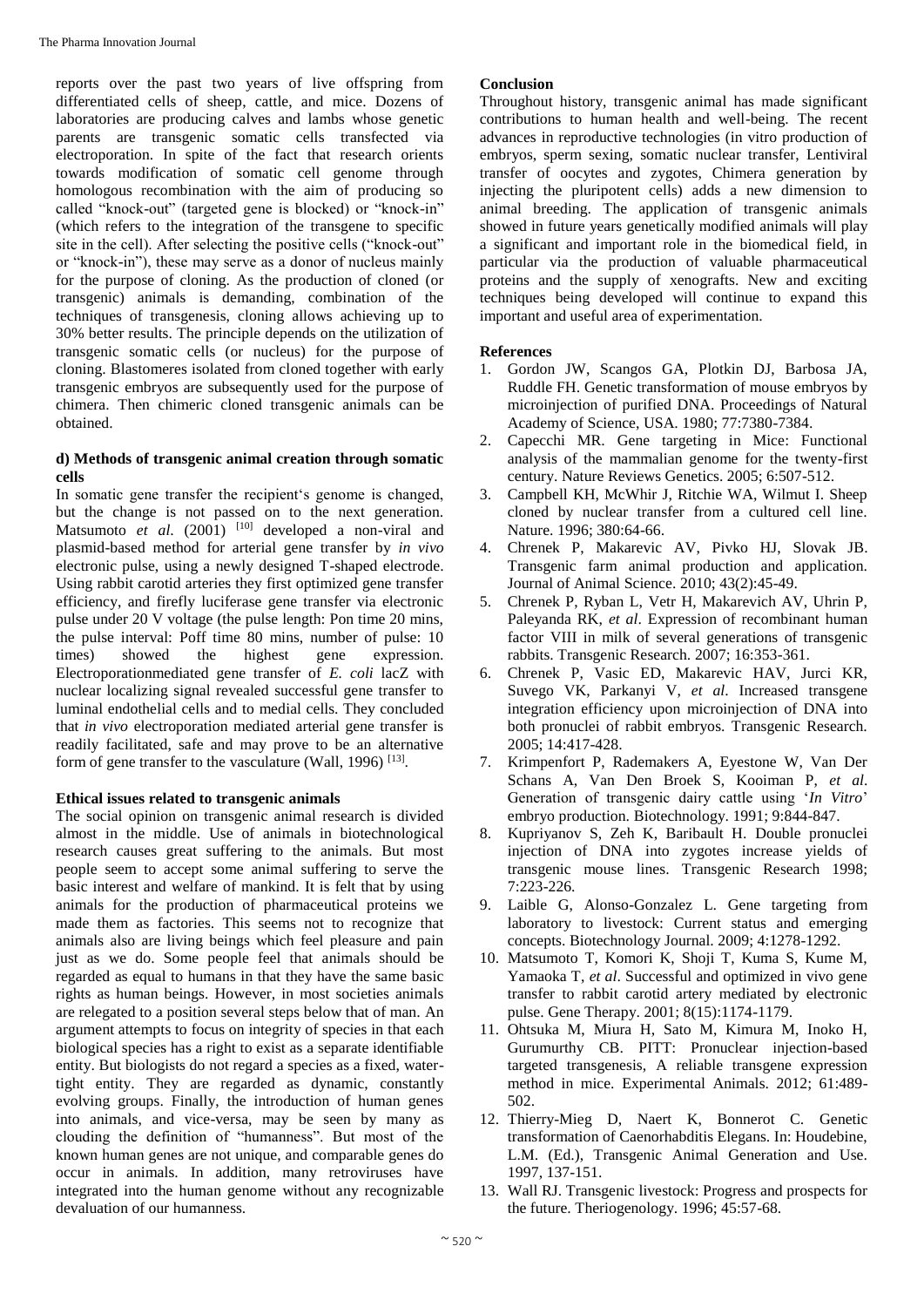reports over the past two years of live offspring from differentiated cells of sheep, cattle, and mice. Dozens of laboratories are producing calves and lambs whose genetic parents are transgenic somatic cells transfected via electroporation. In spite of the fact that research orients towards modification of somatic cell genome through homologous recombination with the aim of producing so called "knock-out" (targeted gene is blocked) or "knock-in" (which refers to the integration of the transgene to specific site in the cell). After selecting the positive cells ("knock-out" or "knock-in"), these may serve as a donor of nucleus mainly for the purpose of cloning. As the production of cloned (or transgenic) animals is demanding, combination of the techniques of transgenesis, cloning allows achieving up to 30% better results. The principle depends on the utilization of transgenic somatic cells (or nucleus) for the purpose of cloning. Blastomeres isolated from cloned together with early transgenic embryos are subsequently used for the purpose of chimera. Then chimeric cloned transgenic animals can be obtained.

# **d) Methods of transgenic animal creation through somatic cells**

In somatic gene transfer the recipient's genome is changed, but the change is not passed on to the next generation. Matsumoto *et al.* (2001) <sup>[10]</sup> developed a non-viral and plasmid-based method for arterial gene transfer by *in vivo*  electronic pulse, using a newly designed T-shaped electrode. Using rabbit carotid arteries they first optimized gene transfer efficiency, and firefly luciferase gene transfer via electronic pulse under 20 V voltage (the pulse length: Pon time 20 mins, the pulse interval: Poff time 80 mins, number of pulse: 10 times) showed the highest gene expression. showed the highest gene expression. Electroporationmediated gene transfer of *E. coli* lacZ with nuclear localizing signal revealed successful gene transfer to luminal endothelial cells and to medial cells. They concluded that *in vivo* electroporation mediated arterial gene transfer is readily facilitated, safe and may prove to be an alternative form of gene transfer to the vasculature (Wall, 1996)<sup>[13]</sup>.

# **Ethical issues related to transgenic animals**

The social opinion on transgenic animal research is divided almost in the middle. Use of animals in biotechnological research causes great suffering to the animals. But most people seem to accept some animal suffering to serve the basic interest and welfare of mankind. It is felt that by using animals for the production of pharmaceutical proteins we made them as factories. This seems not to recognize that animals also are living beings which feel pleasure and pain just as we do. Some people feel that animals should be regarded as equal to humans in that they have the same basic rights as human beings. However, in most societies animals are relegated to a position several steps below that of man. An argument attempts to focus on integrity of species in that each biological species has a right to exist as a separate identifiable entity. But biologists do not regard a species as a fixed, watertight entity. They are regarded as dynamic, constantly evolving groups. Finally, the introduction of human genes into animals, and vice-versa, may be seen by many as clouding the definition of "humanness". But most of the known human genes are not unique, and comparable genes do occur in animals. In addition, many retroviruses have integrated into the human genome without any recognizable devaluation of our humanness.

# **Conclusion**

Throughout history, transgenic animal has made significant contributions to human health and well-being. The recent advances in reproductive technologies (in vitro production of embryos, sperm sexing, somatic nuclear transfer, Lentiviral transfer of oocytes and zygotes, Chimera generation by injecting the pluripotent cells) adds a new dimension to animal breeding. The application of transgenic animals showed in future years genetically modified animals will play a significant and important role in the biomedical field, in particular via the production of valuable pharmaceutical proteins and the supply of xenografts. New and exciting techniques being developed will continue to expand this important and useful area of experimentation.

# **References**

- 1. Gordon JW, Scangos GA, Plotkin DJ, Barbosa JA, Ruddle FH. Genetic transformation of mouse embryos by microinjection of purified DNA. Proceedings of Natural Academy of Science, USA. 1980; 77:7380-7384.
- 2. Capecchi MR. Gene targeting in Mice: Functional analysis of the mammalian genome for the twenty-first century. Nature Reviews Genetics. 2005; 6:507-512.
- 3. Campbell KH, McWhir J, Ritchie WA, Wilmut I. Sheep cloned by nuclear transfer from a cultured cell line. Nature. 1996; 380:64-66.
- 4. Chrenek P, Makarevic AV, Pivko HJ, Slovak JB. Transgenic farm animal production and application. Journal of Animal Science. 2010; 43(2):45-49.
- 5. Chrenek P, Ryban L, Vetr H, Makarevich AV, Uhrin P, Paleyanda RK, *et al*. Expression of recombinant human factor VIII in milk of several generations of transgenic rabbits. Transgenic Research. 2007; 16:353-361.
- 6. Chrenek P, Vasic ED, Makarevic HAV, Jurci KR, Suvego VK, Parkanyi V, *et al*. Increased transgene integration efficiency upon microinjection of DNA into both pronuclei of rabbit embryos. Transgenic Research. 2005; 14:417-428.
- 7. Krimpenfort P, Rademakers A, Eyestone W, Van Der Schans A, Van Den Broek S, Kooiman P, *et al*. Generation of transgenic dairy cattle using '*In Vitro*' embryo production. Biotechnology. 1991; 9:844-847.
- 8. Kupriyanov S, Zeh K, Baribault H. Double pronuclei injection of DNA into zygotes increase yields of transgenic mouse lines. Transgenic Research 1998; 7:223-226.
- 9. Laible G, Alonso-Gonzalez L. Gene targeting from laboratory to livestock: Current status and emerging concepts. Biotechnology Journal. 2009; 4:1278-1292.
- 10. Matsumoto T, Komori K, Shoji T, Kuma S, Kume M, Yamaoka T, *et al*. Successful and optimized in vivo gene transfer to rabbit carotid artery mediated by electronic pulse. Gene Therapy. 2001; 8(15):1174-1179.
- 11. Ohtsuka M, Miura H, Sato M, Kimura M, Inoko H, Gurumurthy CB. PITT: Pronuclear injection-based targeted transgenesis, A reliable transgene expression method in mice. Experimental Animals. 2012; 61:489- 502.
- 12. Thierry-Mieg D, Naert K, Bonnerot C. Genetic transformation of Caenorhabditis Elegans. In: Houdebine, L.M. (Ed.), Transgenic Animal Generation and Use. 1997, 137-151.
- 13. Wall RJ. Transgenic livestock: Progress and prospects for the future. Theriogenology. 1996; 45:57-68.